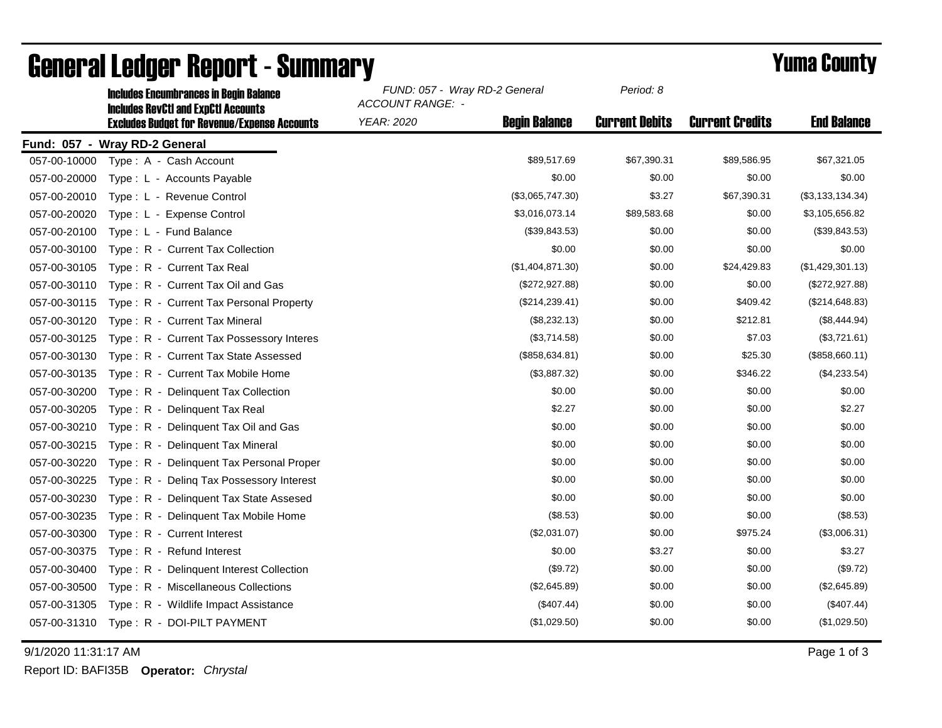|              | <b>Includes Encumbrances in Begin Balance</b><br><b>Includes RevCtI and ExpCtI Accounts</b> | FUND: 057 - Wray RD-2 General<br><b>ACCOUNT RANGE: -</b> |                      | Period: 8             |                        |                    |
|--------------|---------------------------------------------------------------------------------------------|----------------------------------------------------------|----------------------|-----------------------|------------------------|--------------------|
|              | <b>Excludes Budget for Revenue/Expense Accounts</b>                                         | <b>YEAR: 2020</b>                                        | <b>Begin Balance</b> | <b>Current Debits</b> | <b>Current Credits</b> | <b>End Balance</b> |
|              | Fund: 057 - Wray RD-2 General                                                               |                                                          |                      |                       |                        |                    |
| 057-00-10000 | Type: A - Cash Account                                                                      |                                                          | \$89,517.69          | \$67,390.31           | \$89,586.95            | \$67,321.05        |
| 057-00-20000 | Type: L - Accounts Payable                                                                  |                                                          | \$0.00               | \$0.00                | \$0.00                 | \$0.00             |
| 057-00-20010 | Type: L - Revenue Control                                                                   |                                                          | (\$3,065,747.30)     | \$3.27                | \$67,390.31            | (\$3,133,134.34)   |
| 057-00-20020 | Type: L - Expense Control                                                                   |                                                          | \$3,016,073.14       | \$89,583.68           | \$0.00                 | \$3,105,656.82     |
| 057-00-20100 | Type: L - Fund Balance                                                                      |                                                          | (\$39,843.53)        | \$0.00                | \$0.00                 | (\$39,843.53)      |
| 057-00-30100 | Type: R - Current Tax Collection                                                            |                                                          | \$0.00               | \$0.00                | \$0.00                 | \$0.00             |
| 057-00-30105 | Type: R - Current Tax Real                                                                  |                                                          | (\$1,404,871.30)     | \$0.00                | \$24,429.83            | (\$1,429,301.13)   |
| 057-00-30110 | Type: R - Current Tax Oil and Gas                                                           |                                                          | (\$272,927.88)       | \$0.00                | \$0.00                 | (\$272,927.88)     |
| 057-00-30115 | Type: R - Current Tax Personal Property                                                     |                                                          | (\$214, 239.41)      | \$0.00                | \$409.42               | (\$214,648.83)     |
| 057-00-30120 | Type: R - Current Tax Mineral                                                               |                                                          | (\$8,232.13)         | \$0.00                | \$212.81               | (\$8,444.94)       |
| 057-00-30125 | Type: R - Current Tax Possessory Interes                                                    |                                                          | (\$3,714.58)         | \$0.00                | \$7.03                 | (\$3,721.61)       |
| 057-00-30130 | Type: R - Current Tax State Assessed                                                        |                                                          | (\$858, 634.81)      | \$0.00                | \$25.30                | (\$858,660.11)     |
| 057-00-30135 | Type: R - Current Tax Mobile Home                                                           |                                                          | (\$3,887.32)         | \$0.00                | \$346.22               | (\$4,233.54)       |
| 057-00-30200 | Type: R - Delinquent Tax Collection                                                         |                                                          | \$0.00               | \$0.00                | \$0.00                 | \$0.00             |
| 057-00-30205 | Type: R - Delinguent Tax Real                                                               |                                                          | \$2.27               | \$0.00                | \$0.00                 | \$2.27             |
| 057-00-30210 | Type: R - Delinquent Tax Oil and Gas                                                        |                                                          | \$0.00               | \$0.00                | \$0.00                 | \$0.00             |
| 057-00-30215 | Type: R - Delinquent Tax Mineral                                                            |                                                          | \$0.00               | \$0.00                | \$0.00                 | \$0.00             |
| 057-00-30220 | Type: R - Delinquent Tax Personal Proper                                                    |                                                          | \$0.00               | \$0.00                | \$0.00                 | \$0.00             |
| 057-00-30225 | Type: R - Deling Tax Possessory Interest                                                    |                                                          | \$0.00               | \$0.00                | \$0.00                 | \$0.00             |
| 057-00-30230 | Type: R - Delinquent Tax State Assesed                                                      |                                                          | \$0.00               | \$0.00                | \$0.00                 | \$0.00             |
| 057-00-30235 | Type: R - Delinquent Tax Mobile Home                                                        |                                                          | (\$8.53)             | \$0.00                | \$0.00                 | (\$8.53)           |
| 057-00-30300 | Type: R - Current Interest                                                                  |                                                          | (\$2,031.07)         | \$0.00                | \$975.24               | (\$3,006.31)       |
| 057-00-30375 | Type: R - Refund Interest                                                                   |                                                          | \$0.00               | \$3.27                | \$0.00                 | \$3.27             |
| 057-00-30400 | Type: R - Delinquent Interest Collection                                                    |                                                          | (\$9.72)             | \$0.00                | \$0.00                 | (\$9.72)           |
| 057-00-30500 | Type: R - Miscellaneous Collections                                                         |                                                          | (\$2,645.89)         | \$0.00                | \$0.00                 | (\$2,645.89)       |
| 057-00-31305 | Type: R - Wildlife Impact Assistance                                                        |                                                          | (\$407.44)           | \$0.00                | \$0.00                 | (\$407.44)         |
| 057-00-31310 | Type: R - DOI-PILT PAYMENT                                                                  |                                                          | (\$1,029.50)         | \$0.00                | \$0.00                 | (\$1,029.50)       |

## General Ledger Report - Summary **Example 2018** Yuma County

9/1/2020 11:31:17 AM Page 1 of 3

Report ID: BAFI35B **Operator:** *Chrystal*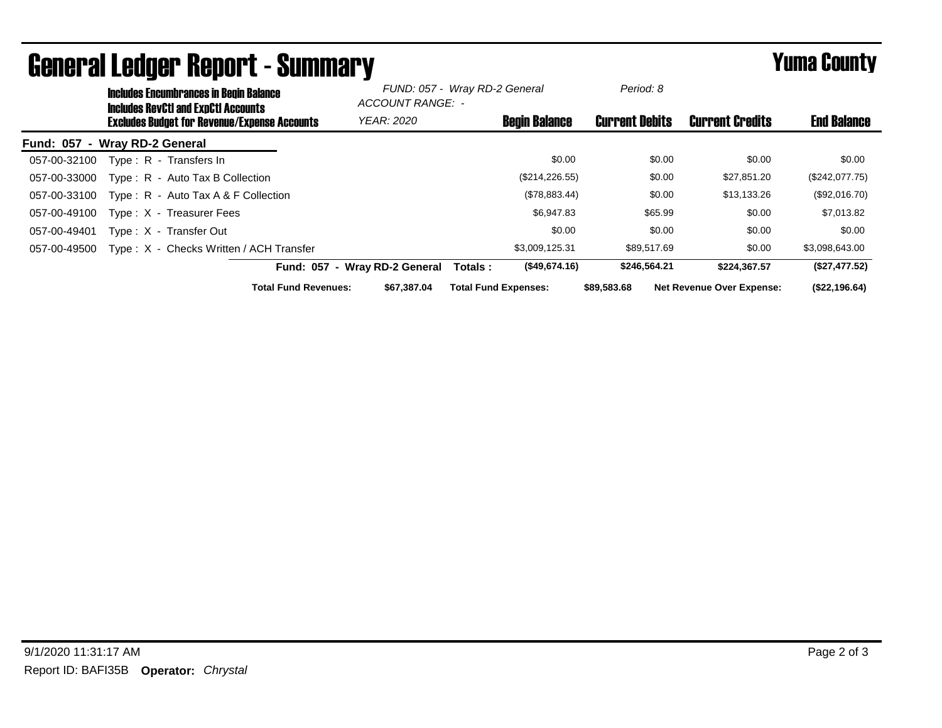|                  | <b>Includes Encumbrances in Begin Balance</b><br><b>Includes RevCtI and ExpCtI Accounts</b> |                                                     |                             | -<br>FUND: 057 - Wray RD-2 General<br>ACCOUNT RANGE: - |                             | Period: 8            |                       |                                  |                    |
|------------------|---------------------------------------------------------------------------------------------|-----------------------------------------------------|-----------------------------|--------------------------------------------------------|-----------------------------|----------------------|-----------------------|----------------------------------|--------------------|
|                  |                                                                                             | <b>Excludes Budget for Revenue/Expense Accounts</b> |                             | <b>YEAR: 2020</b>                                      |                             | <b>Begin Balance</b> | <b>Current Debits</b> | <b>Current Credits</b>           | <b>End Balance</b> |
| <b>Fund: 057</b> | - Wray RD-2 General                                                                         |                                                     |                             |                                                        |                             |                      |                       |                                  |                    |
| 057-00-32100     |                                                                                             | Type: R - Transfers In                              |                             |                                                        |                             | \$0.00               | \$0.00                | \$0.00                           | \$0.00             |
| 057-00-33000     |                                                                                             | Type: R - Auto Tax B Collection                     |                             |                                                        |                             | (\$214, 226.55)      | \$0.00                | \$27,851.20                      | (\$242,077.75)     |
| 057-00-33100     |                                                                                             | Type: R - Auto Tax A & F Collection                 |                             |                                                        |                             | (\$78,883.44)        | \$0.00                | \$13,133.26                      | (\$92,016.70)      |
| 057-00-49100     |                                                                                             | Type: X - Treasurer Fees                            |                             |                                                        |                             | \$6,947.83           | \$65.99               | \$0.00                           | \$7,013.82         |
| 057-00-49401     |                                                                                             | Type: X - Transfer Out                              |                             |                                                        |                             | \$0.00               | \$0.00                | \$0.00                           | \$0.00             |
| 057-00-49500     |                                                                                             | Type: X - Checks Written / ACH Transfer             |                             |                                                        |                             | \$3,009,125.31       | \$89,517.69           | \$0.00                           | \$3,098,643.00     |
|                  |                                                                                             |                                                     |                             | Fund: 057 - Wray RD-2 General                          | Totals :                    | (\$49.674.16)        | \$246,564.21          | \$224.367.57                     | (\$27,477.52)      |
|                  |                                                                                             |                                                     | <b>Total Fund Revenues:</b> | \$67.387.04                                            | <b>Total Fund Expenses:</b> |                      | \$89,583,68           | <b>Net Revenue Over Expense:</b> | (\$22,196.64)      |

## General Ledger Report - Summary **Example 2018** Yuma County